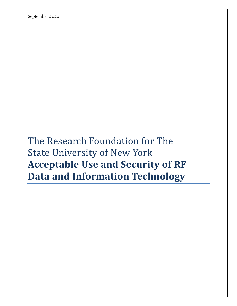September 2020

The Research Foundation for The State University of New York **Acceptable Use and Security of RF Data and Information Technology**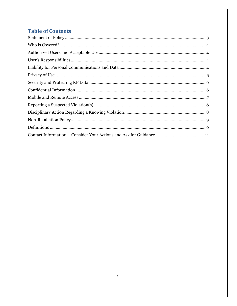# **Table of Contents**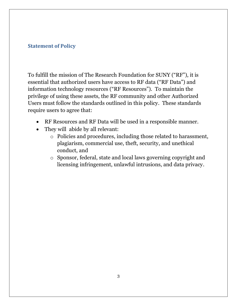### <span id="page-2-0"></span>**Statement of Policy**

To fulfill the mission of The Research Foundation for SUNY ("RF"), it is essential that authorized users have access to RF data ("RF Data") and information technology resources ("RF Resources"). To maintain the privilege of using these assets, the RF community and other Authorized Users must follow the standards outlined in this policy. These standards require users to agree that:

- RF Resources and RF Data will be used in a responsible manner.
- They will abide by all relevant:
	- o Policies and procedures, including those related to harassment, plagiarism, commercial use, theft, security, and unethical conduct, and
	- o Sponsor, federal, state and local laws governing copyright and licensing infringement, unlawful intrusions, and data privacy.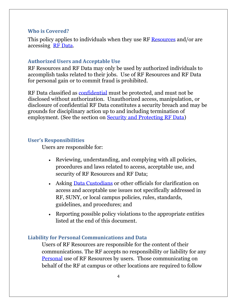#### <span id="page-3-0"></span>**Who is Covered?**

This policy applies to individuals when they use RF [Resources](#page-8-1) and/or are accessing [RF Data.](#page-8-1)

#### <span id="page-3-1"></span>**Authorized Users and Acceptable Use**

RF Resources and RF Data may only be used by authorized individuals to accomplish tasks related to their jobs. Use of RF Resources and RF Data for personal gain or to commit fraud is prohibited.

RF Data classified as [confidential](#page-8-1) must be protected, and must not be disclosed without authorization. Unauthorized access, manipulation, or disclosure of confidential RF Data constitutes a security breach and may be grounds for disciplinary action up to and including termination of employment. (See the section on [Security and Protecting RF Data\)](#page-5-0)

#### <span id="page-3-2"></span>**User's Responsibilities**

Users are responsible for:

- Reviewing, understanding, and complying with all policies, procedures and laws related to access, acceptable use, and security of RF Resources and RF Data;
- Asking [Data Custodians](#page-8-1) or other officials for clarification on access and acceptable use issues not specifically addressed in RF, SUNY, or local campus policies, rules, standards, guidelines, and procedures; and
- Reporting possible policy violations to the appropriate entities listed at the end of this document.

### <span id="page-3-3"></span>**Liability for Personal Communications and Data**

Users of RF Resources are responsible for the content of their communications. The RF accepts no responsibility or liability for any [Personal](#page-8-1) use of RF Resources by users. Those communicating on behalf of the RF at campus or other locations are required to follow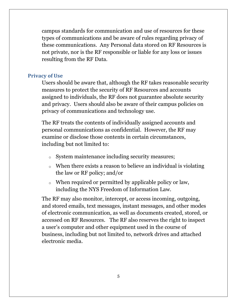campus standards for communication and use of resources for these types of communications and be aware of rules regarding privacy of these communications. Any Personal data stored on RF Resources is not private, nor is the RF responsible or liable for any loss or issues resulting from the RF Data.

#### <span id="page-4-0"></span>**Privacy of Use**

Users should be aware that, although the RF takes reasonable security measures to protect the security of RF Resources and accounts assigned to individuals, the RF does not guarantee absolute security and privacy. Users should also be aware of their campus policies on privacy of communications and technology use.

The RF treats the contents of individually assigned accounts and personal communications as confidential. However, the RF may examine or disclose those contents in certain circumstances, including but not limited to:

- o System maintenance including security measures;
- o When there exists a reason to believe an individual is violating the law or RF policy; and/or
- o When required or permitted by applicable policy or law, including the NYS Freedom of Information Law.

The RF may also monitor, intercept, or access incoming, outgoing, and stored emails, text messages, instant messages, and other modes of electronic communication, as well as documents created, stored, or accessed on RF Resources. The RF also reserves the right to inspect a user's computer and other equipment used in the course of business, including but not limited to, network drives and attached electronic media.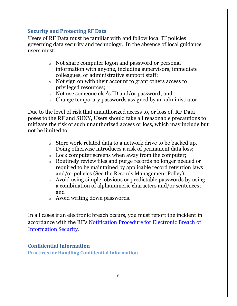# <span id="page-5-0"></span>**Security and Protecting RF Data**

Users of RF Data must be familiar with and follow local IT policies governing data security and technology. In the absence of local guidance users must:

- o Not share computer logon and password or personal information with anyone, including supervisors, immediate colleagues, or administrative support staff;
- o Not sign on with their account to grant others access to privileged resources;
- o Not use someone else's ID and/or password; and
- o Change temporary passwords assigned by an administrator.

Due to the level of risk that unauthorized access to, or loss of, RF Data poses to the RF and SUNY, Users should take all reasonable precautions to mitigate the risk of such unauthorized access or loss, which may include but not be limited to:

- o Store work-related data to a network drive to be backed up. Doing otherwise introduces a risk of permanent data loss;
- o Lock computer screens when away from the computer;
- o Routinely review files and purge records no longer needed or required to be maintained by applicable record retention laws and/or policies (See the Records Management Policy);
- o Avoid using simple, obvious or predictable passwords by using a combination of alphanumeric characters and/or sentences; and
- o Avoid writing down passwords.

In all cases if an electronic breach occurs, you must report the incident in accordance with the RF's [Notification Procedure for Electronic Breach of](http://www.rfsuny.org/media/RFSUNY/Procedures/ba_notification-electronic-breach-information-security_pro.htm)  [Information Security](http://www.rfsuny.org/media/RFSUNY/Procedures/ba_notification-electronic-breach-information-security_pro.htm).

# <span id="page-5-1"></span>**Confidential Information**

**Practices for Handling Confidential Information**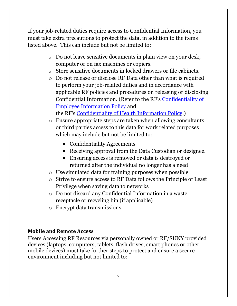If your job-related duties require access to Confidential Information, you must take extra precautions to protect the data, in addition to the items listed above. This can include but not be limited to:

- o Do not leave sensitive documents in plain view on your desk, computer or on fax machines or copiers.
- o Store sensitive documents in locked drawers or file cabinets.
- o Do not release or disclose RF Data other than what is required to perform your job-related duties and in accordance with applicable RF policies and procedures on releasing or disclosing Confidential Information. (Refer to the RF's [Confidentiality of](http://www.rfsuny.org/media/RFSUNY/Policies/per_confidentiality-employee-information_pol.htm)  [Employee Information Policy](http://www.rfsuny.org/media/RFSUNY/Policies/per_confidentiality-employee-information_pol.htm) and the RF's [Confidentiality of Health Information Policy.](http://www.rfsuny.org/media/RFSUNY/Policies/per_confidentiality-health-information_pol.htm))
- o Ensure appropriate steps are taken when allowing consultants or third parties access to this data for work related purposes which may include but not be limited to:
	- Confidentiality Agreements
	- Receiving approval from the Data Custodian or designee.
	- Ensuring access is removed or data is destroyed or returned after the individual no longer has a need
- o Use simulated data for training purposes when possible
- o Strive to ensure access to RF Data follows the Principle of Least Privilege when saving data to networks
- o Do not discard any Confidential Information in a waste receptacle or recycling bin (if applicable)
- o Encrypt data transmissions

# <span id="page-6-0"></span>**Mobile and Remote Access**

Users Accessing RF Resources via personally owned or RF/SUNY provided devices (laptops, computers, tablets, flash drives, smart phones or other mobile devices) must take further steps to protect and ensure a secure environment including but not limited to: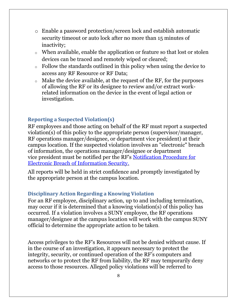- o Enable a password protection/screen lock and establish automatic security timeout or auto lock after no more than 15 minutes of inactivity;
- o When available, enable the application or feature so that lost or stolen devices can be traced and remotely wiped or cleared;
- o Follow the standards outlined in this policy when using the device to access any RF Resource or RF Data;
- o Make the device available, at the request of the RF, for the purposes of allowing the RF or its designee to review and/or extract workrelated information on the device in the event of legal action or investigation.

# <span id="page-7-0"></span>**Reporting a Suspected Violation(s)**

RF employees and those acting on behalf of the RF must report a suspected violation(s) of this policy to the appropriate person (supervisor/manager, RF operations manager/designee, or department vice president) at their campus location. If the suspected violation involves an "electronic" breach of information, the operations manager/designee or department vice president must be notified per the RF's [Notification Procedure for](http://www.rfsuny.org/media/RFSUNY/Procedures/ba_notification-electronic-breach-information-security_pro.htm)  [Electronic Breach of Information Security.](http://www.rfsuny.org/media/RFSUNY/Procedures/ba_notification-electronic-breach-information-security_pro.htm)

All reports will be held in strict confidence and promptly investigated by the appropriate person at the campus location.

# <span id="page-7-1"></span>**Disciplinary Action Regarding a Knowing Violation**

For an RF employee, disciplinary action, up to and including termination, may occur if it is determined that a knowing violation(s) of this policy has occurred. If a violation involves a SUNY employee, the RF operations manager/designee at the campus location will work with the campus SUNY official to determine the appropriate action to be taken.

Access privileges to the RF's Resources will not be denied without cause. If in the course of an investigation, it appears necessary to protect the integrity, security, or continued operation of the RF's computers and networks or to protect the RF from liability, the RF may temporarily deny access to those resources. Alleged policy violations will be referred to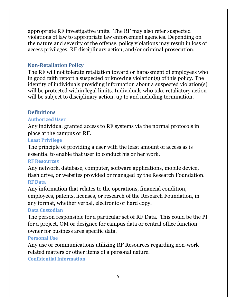appropriate RF investigative units. The RF may also refer suspected violations of law to appropriate law enforcement agencies. Depending on the nature and severity of the offense, policy violations may result in loss of access privileges, RF disciplinary action, and/or criminal prosecution.

# <span id="page-8-0"></span>**Non-Retaliation Policy**

The RF will not tolerate retaliation toward or harassment of employees who in good faith report a suspected or knowing violation(s) of this policy. The identity of individuals providing information about a suspected violation(s) will be protected within legal limits. Individuals who take retaliatory action will be subject to disciplinary action, up to and including termination.

# <span id="page-8-1"></span>**Definitions**

#### **Authorized User**

Any individual granted access to RF systems via the normal protocols in place at the campus or RF.

#### **Least Privilege**

The principle of providing a user with the least amount of access as is essential to enable that user to conduct his or her work.

#### **RF Resources**

Any network, database, computer, software applications, mobile device, flash drive, or websites provided or managed by the Research Foundation. **RF Data**

Any information that relates to the operations, financial condition, employees, patents, licenses, or research of the Research Foundation, in any format, whether verbal, electronic or hard copy.

#### **Data Custodian**

The person responsible for a particular set of RF Data. This could be the PI for a project, OM or designee for campus data or central office function owner for business area specific data.

#### **Personal Use**

Any use or communications utilizing RF Resources regarding non-work related matters or other items of a personal nature.

**Confidential Information**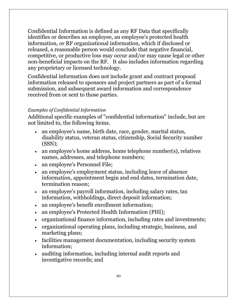Confidential Information is defined as any RF Data that specifically identifies or describes an employee, an employee's protected health information, or RF organizational information, which if disclosed or released, a reasonable person would conclude that negative financial, competitive, or productive loss may occur and/or may cause legal or other non-beneficial impacts on the RF. It also includes information regarding any proprietary or licensed technology.

Confidential information does not include grant and contract proposal information released to sponsors and project partners as part of a formal submission, and subsequent award information and correspondence received from or sent to those parties.

#### *Examples of Confidential Information*

Additional specific examples of "confidential information" include, but are not limited to, the following items.

- an employee's name, birth date, race, gender, marital status, disability status, veteran status, citizenship, Social Security number (SSN);
- an employee's home address, home telephone number(s), relatives names, addresses, and telephone numbers;
- an employee's Personnel File;
- an employee's employment status, including leave of absence information, appointment begin and end dates, termination date, termination reason;
- an employee's payroll information, including salary rates, tax information, withholdings, direct deposit information;
- an employee's benefit enrollment information;
- an employee's Protected Health Information (PHI);
- organizational finance information, including rates and investments;
- organizational operating plans, including strategic, business, and marketing plans;
- facilities management documentation, including security system information;
- auditing information, including internal audit reports and investigative records; and